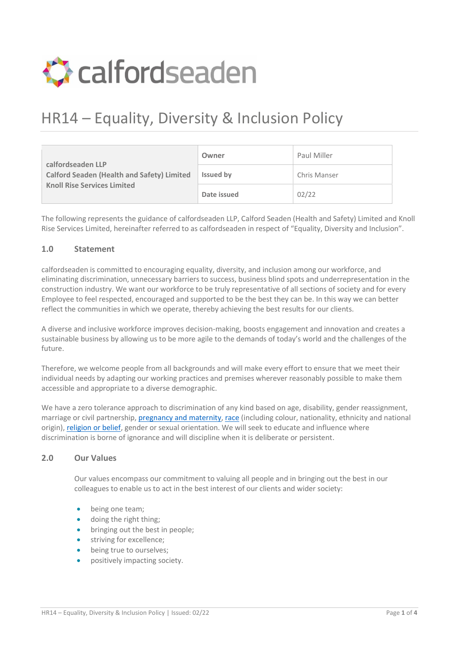

# HR14 – Equality, Diversity & Inclusion Policy

| calfordseaden LLP<br><b>Calford Seaden (Health and Safety) Limited</b><br><b>Knoll Rise Services Limited</b> | Owner            | Paul Miller  |
|--------------------------------------------------------------------------------------------------------------|------------------|--------------|
|                                                                                                              | <b>Issued by</b> | Chris Manser |
|                                                                                                              | Date issued      | 02/22        |

The following represents the guidance of calfordseaden LLP, Calford Seaden (Health and Safety) Limited and Knoll Rise Services Limited, hereinafter referred to as calfordseaden in respect of "Equality, Diversity and Inclusion".

### **1.0 Statement**

calfordseaden is committed to encouraging equality, diversity, and inclusion among our workforce, and eliminating discrimination, unnecessary barriers to success, business blind spots and underrepresentation in the construction industry. We want our workforce to be truly representative of all sections of society and for every Employee to feel respected, encouraged and supported to be the best they can be. In this way we can better reflect the communities in which we operate, thereby achieving the best results for our clients.

A diverse and inclusive workforce improves decision-making, boosts engagement and innovation and creates a sustainable business by allowing us to be more agile to the demands of today's world and the challenges of the future.

Therefore, we welcome people from all backgrounds and will make every effort to ensure that we meet their individual needs by adapting our working practices and premises wherever reasonably possible to make them accessible and appropriate to a diverse demographic.

We have a zero tolerance approach to discrimination of any kind based on age, disability, gender reassignment, marriage or civil partnership[, pregnancy and](https://www.acas.org.uk/managing-your-employees-maternity-leave-and-pay/discrimination-because-of-pregnancy-and-maternity) maternity, [race](https://www.acas.org.uk/race-discrimination) (including colour, nationality, ethnicity and national origin)[, religion or belief,](https://www.acas.org.uk/acas-guide-to-religion-or-belief-discrimination) gender or sexual orientation. We will seek to educate and influence where discrimination is borne of ignorance and will discipline when it is deliberate or persistent.

# **2.0 Our Values**

Our values encompass our commitment to valuing all people and in bringing out the best in our colleagues to enable us to act in the best interest of our clients and wider society:

- being one team;
- doing the right thing;
- bringing out the best in people;
- striving for excellence;
- being true to ourselves;
- positively impacting society.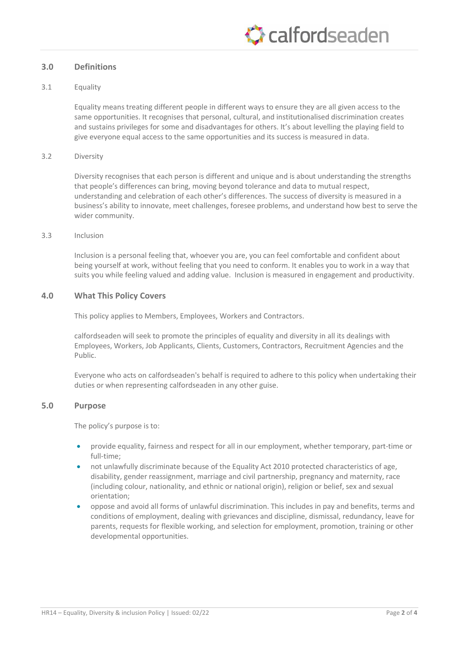# **C**raffordseaden

### **3.0 Definitions**

#### 3.1 Equality

Equality means treating different people in different ways to ensure they are all given access to the same opportunities. It recognises that personal, cultural, and institutionalised discrimination creates and sustains privileges for some and disadvantages for others. It's about levelling the playing field to give everyone equal access to the same opportunities and its success is measured in data.

#### 3.2 Diversity

Diversity recognises that each person is different and unique and is about understanding the strengths that people's differences can bring, moving beyond tolerance and data to mutual respect, understanding and celebration of each other's differences. The success of diversity is measured in a business's ability to innovate, meet challenges, foresee problems, and understand how best to serve the wider community.

#### 3.3 Inclusion

Inclusion is a personal feeling that, whoever you are, you can feel comfortable and confident about being yourself at work, without feeling that you need to conform. It enables you to work in a way that suits you while feeling valued and adding value. Inclusion is measured in engagement and productivity.

#### **4.0 What This Policy Covers**

This policy applies to Members, Employees, Workers and Contractors.

calfordseaden will seek to promote the principles of equality and diversity in all its dealings with Employees, Workers, Job Applicants, Clients, Customers, Contractors, Recruitment Agencies and the Public.

Everyone who acts on calfordseaden's behalf is required to adhere to this policy when undertaking their duties or when representing calfordseaden in any other guise.

#### **5.0 Purpose**

The policy's purpose is to:

- provide equality, fairness and respect for all in our employment, whether temporary, part-time or full-time;
- not unlawfully discriminate because of the Equality Act 2010 protected characteristics of age, disability, gender reassignment, marriage and civil partnership, pregnancy and maternity, race (including colour, nationality, and ethnic or national origin), religion or belief, sex and sexual orientation;
- oppose and avoid all forms of unlawful discrimination. This includes in pay and benefits, terms and conditions of employment, dealing with grievances and discipline, dismissal, redundancy, leave for parents, requests for flexible working, and selection for employment, promotion, training or other developmental opportunities.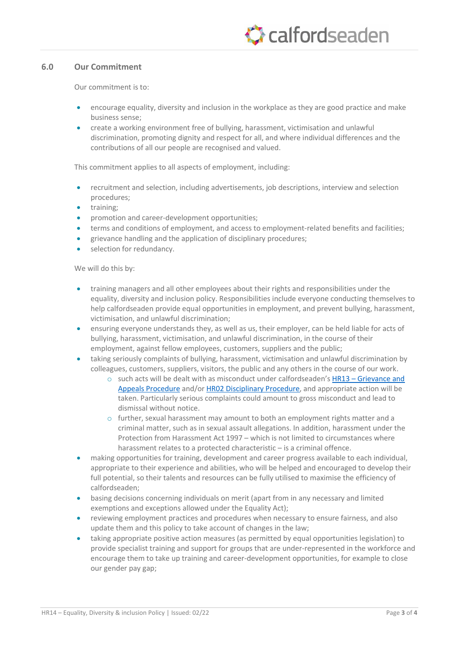# **C** calfordseaden

### **6.0 Our Commitment**

Our commitment is to:

- encourage equality, diversity and inclusion in the workplace as they are good practice and make business sense;
- create a working environment free of bullying, harassment, victimisation and unlawful discrimination, promoting dignity and respect for all, and where individual differences and the contributions of all our people are recognised and valued.

This commitment applies to all aspects of employment, including:

- recruitment and selection, including advertisements, job descriptions, interview and selection procedures;
- training;
- promotion and career-development opportunities;
- terms and conditions of employment, and access to employment-related benefits and facilities;
- grievance handling and the application of disciplinary procedures;
- selection for redundancy.

We will do this by:

- training managers and all other employees about their rights and responsibilities under the equality, diversity and inclusion policy. Responsibilities include everyone conducting themselves to help calfordseaden provide equal opportunities in employment, and prevent bullying, harassment, victimisation, and unlawful discrimination;
- ensuring everyone understands they, as well as us, their employer, can be held liable for acts of bullying, harassment, victimisation, and unlawful discrimination, in the course of their employment, against fellow employees, customers, suppliers and the public;
- taking seriously complaints of bullying, harassment, victimisation and unlawful discrimination by colleagues, customers, suppliers, visitors, the public and any others in the course of our work.
	- o such acts will be dealt with as misconduct under calfordseaden's HR13 [Grievance and](http://plexus.calfordseaden.co.uk/DMS/view_document.aspx?ID=14186752&Latest=true)  [Appeals Procedure](http://plexus.calfordseaden.co.uk/DMS/view_document.aspx?ID=14186752&Latest=true) and/o[r HR02 Disciplinary Procedure,](http://plexus.calfordseaden.co.uk/DMS/view_document.aspx?ID=13239696&Latest=true) and appropriate action will be taken. Particularly serious complaints could amount to gross misconduct and lead to dismissal without notice.
	- $\circ$  further, sexual harassment may amount to both an employment rights matter and a criminal matter, such as in sexual assault allegations. In addition, harassment under the Protection from Harassment Act 1997 – which is not limited to circumstances where harassment relates to a protected characteristic - is a criminal offence.
- making opportunities for training, development and career progress available to each individual, appropriate to their experience and abilities, who will be helped and encouraged to develop their full potential, so their talents and resources can be fully utilised to maximise the efficiency of calfordseaden;
- basing decisions concerning individuals on merit (apart from in any necessary and limited exemptions and exceptions allowed under the Equality Act);
- reviewing employment practices and procedures when necessary to ensure fairness, and also update them and this policy to take account of changes in the law;
- taking appropriate positive action measures (as permitted by equal opportunities legislation) to provide specialist training and support for groups that are under-represented in the workforce and encourage them to take up training and career-development opportunities, for example to close our gender pay gap;